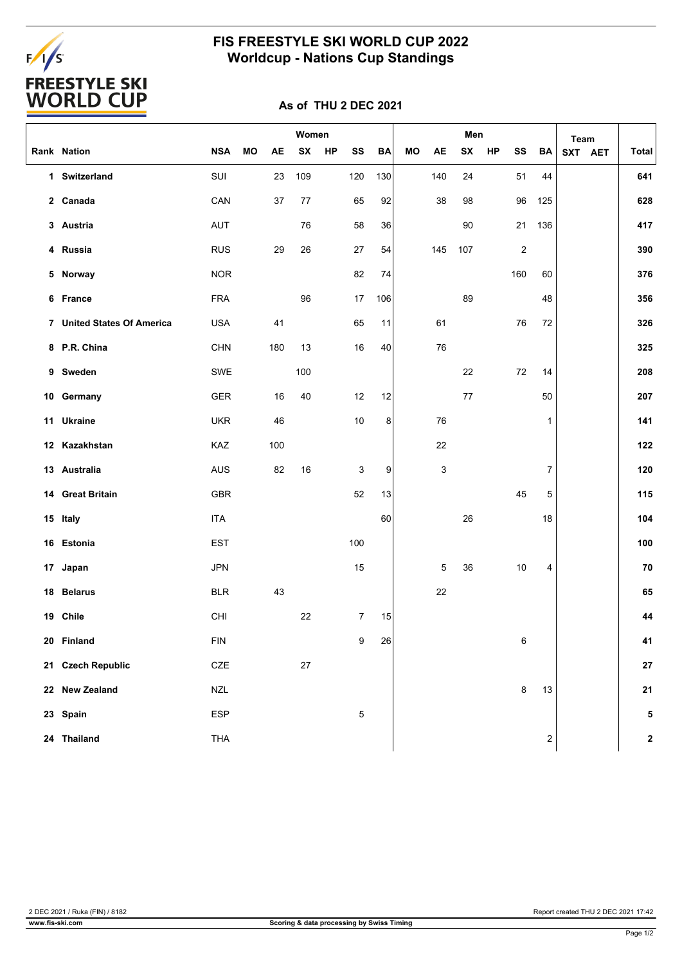# FALS<br>FREESTYLE SKI<br>WORLD CUP

### **FIS FREESTYLE SKI WORLD CUP 2022 Worldcup - Nations Cup Standings**

#### **As of THU 2 DEC 2021**

|                            |             |           |     | Women  |    |            |           |    |           | Men |    |     |                  | <b>Team</b> |         |              |
|----------------------------|-------------|-----------|-----|--------|----|------------|-----------|----|-----------|-----|----|-----|------------------|-------------|---------|--------------|
| Rank Nation                | <b>NSA</b>  | <b>MO</b> | AЕ  | SX     | HP | SS         | <b>BA</b> | MO | <b>AE</b> | SX  | HP | SS  | ВA               |             | SXT AET | <b>Total</b> |
| 1 Switzerland              | SUI         |           | 23  | 109    |    | 120        | 130       |    | 140       | 24  |    | 51  | 44               |             |         | 641          |
| 2 Canada                   | CAN         |           | 37  | 77     |    | 65         | 92        |    | 38        | 98  |    | 96  | 125              |             |         | 628          |
| 3 Austria                  | AUT         |           |     | 76     |    | 58         | 36        |    |           | 90  |    | 21  | 136              |             |         | 417          |
| 4 Russia                   | <b>RUS</b>  |           | 29  | 26     |    | 27         | 54        |    | 145       | 107 |    | 2   |                  |             |         | 390          |
| 5 Norway                   | <b>NOR</b>  |           |     |        |    | 82         | 74        |    |           |     |    | 160 | 60               |             |         | 376          |
| 6 France                   | <b>FRA</b>  |           |     | 96     |    | 17         | 106       |    |           | 89  |    |     | 48               |             |         | 356          |
| 7 United States Of America | <b>USA</b>  |           | 41  |        |    | 65         | 11        |    | 61        |     |    | 76  | 72               |             |         | 326          |
| 8 P.R. China               | <b>CHN</b>  |           | 180 | 13     |    | 16         | 40        |    | 76        |     |    |     |                  |             |         | 325          |
| 9 Sweden                   | SWE         |           |     | 100    |    |            |           |    |           | 22  |    | 72  | 14               |             |         | 208          |
| 10 Germany                 | GER         |           | 16  | 40     |    | 12         | 12        |    |           | 77  |    |     | 50               |             |         | 207          |
| 11 Ukraine                 | <b>UKR</b>  |           | 46  |        |    | 10         | 8         |    | 76        |     |    |     | $\mathbf{1}$     |             |         | 141          |
| 12 Kazakhstan              | KAZ         |           | 100 |        |    |            |           |    | 22        |     |    |     |                  |             |         | 122          |
| 13 Australia               | AUS         |           | 82  | 16     |    | 3          | 9         |    | 3         |     |    |     | 7                |             |         | 120          |
| 14 Great Britain           | GBR         |           |     |        |    | 52         | 13        |    |           |     |    | 45  | 5                |             |         | 115          |
| 15 Italy                   | ITA         |           |     |        |    |            | 60        |    |           | 26  |    |     | 18               |             |         | 104          |
| 16 Estonia                 | <b>EST</b>  |           |     |        |    | 100        |           |    |           |     |    |     |                  |             |         | 100          |
| 17 Japan                   | <b>JPN</b>  |           |     |        |    | 15         |           |    | 5         | 36  |    | 10  | 4                |             |         | 70           |
|                            |             |           | 43  |        |    |            |           |    | 22        |     |    |     |                  |             |         |              |
| 18 Belarus                 | <b>BLR</b>  |           |     |        |    |            |           |    |           |     |    |     |                  |             |         | 65           |
| 19 Chile                   | CHI         |           |     | 22     |    | 7          | 15        |    |           |     |    |     |                  |             |         | 44           |
| 20 Finland                 | ${\sf FIN}$ |           |     |        |    | 9          | 26        |    |           |     |    | 6   |                  |             |         | 41           |
| 21 Czech Republic          | CZE         |           |     | $27\,$ |    |            |           |    |           |     |    |     |                  |             |         | ${\bf 27}$   |
| 22 New Zealand             | NZL         |           |     |        |    |            |           |    |           |     |    | 8   | 13               |             |         | 21           |
| 23 Spain                   | <b>ESP</b>  |           |     |        |    | $\sqrt{5}$ |           |    |           |     |    |     |                  |             |         | 5            |
| 24 Thailand                | <b>THA</b>  |           |     |        |    |            |           |    |           |     |    |     | $\boldsymbol{2}$ |             |         | 2            |